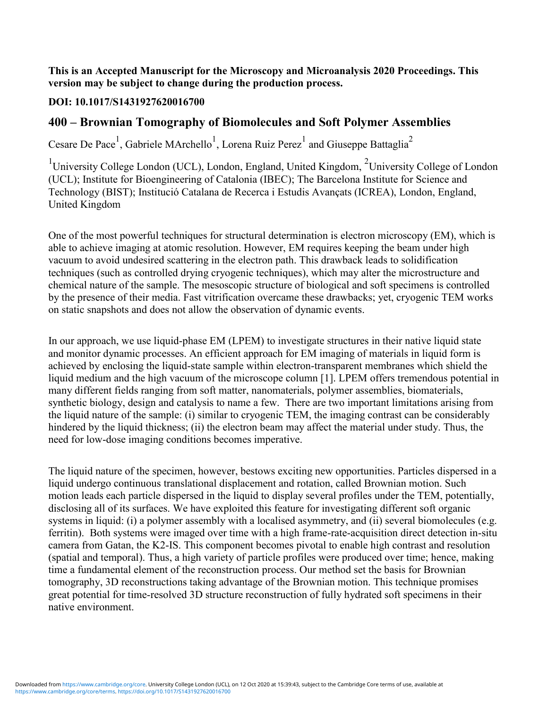**This is an Accepted Manuscript for the Microscopy and Microanalysis 2020 Proceedings. This version may be subject to change during the production process.**

## **DOI: 10.1017/S1431927620016700**

## **400 – Brownian Tomography of Biomolecules and Soft Polymer Assemblies**

Cesare De Pace<sup>1</sup>, Gabriele MArchello<sup>1</sup>, Lorena Ruiz Perez<sup>1</sup> and Giuseppe Battaglia<sup>2</sup>

<sup>1</sup>University College London (UCL), London, England, United Kingdom, <sup>2</sup>University College of London (UCL); Institute for Bioengineering of Catalonia (IBEC); The Barcelona Institute for Science and Technology (BIST); Institució Catalana de Recerca i Estudis Avançats (ICREA), London, England, United Kingdom

One of the most powerful techniques for structural determination is electron microscopy (EM), which is able to achieve imaging at atomic resolution. However, EM requires keeping the beam under high vacuum to avoid undesired scattering in the electron path. This drawback leads to solidification techniques (such as controlled drying cryogenic techniques), which may alter the microstructure and chemical nature of the sample. The mesoscopic structure of biological and soft specimens is controlled by the presence of their media. Fast vitrification overcame these drawbacks; yet, cryogenic TEM works on static snapshots and does not allow the observation of dynamic events.

In our approach, we use liquid-phase EM (LPEM) to investigate structures in their native liquid state and monitor dynamic processes. An efficient approach for EM imaging of materials in liquid form is achieved by enclosing the liquid-state sample within electron-transparent membranes which shield the liquid medium and the high vacuum of the microscope column [1]. LPEM offers tremendous potential in many different fields ranging from soft matter, nanomaterials, polymer assemblies, biomaterials, synthetic biology, design and catalysis to name a few. There are two important limitations arising from the liquid nature of the sample: (i) similar to cryogenic TEM, the imaging contrast can be considerably hindered by the liquid thickness; (ii) the electron beam may affect the material under study. Thus, the need for low-dose imaging conditions becomes imperative.

The liquid nature of the specimen, however, bestows exciting new opportunities. Particles dispersed in a liquid undergo continuous translational displacement and rotation, called Brownian motion. Such motion leads each particle dispersed in the liquid to display several profiles under the TEM, potentially, disclosing all of its surfaces. We have exploited this feature for investigating different soft organic systems in liquid: (i) a polymer assembly with a localised asymmetry, and (ii) several biomolecules (e.g. ferritin). Both systems were imaged over time with a high frame-rate-acquisition direct detection in-situ camera from Gatan, the K2-IS. This component becomes pivotal to enable high contrast and resolution (spatial and temporal). Thus, a high variety of particle profiles were produced over time; hence, making time a fundamental element of the reconstruction process. Our method set the basis for Brownian tomography, 3D reconstructions taking advantage of the Brownian motion. This technique promises great potential for time-resolved 3D structure reconstruction of fully hydrated soft specimens in their native environment.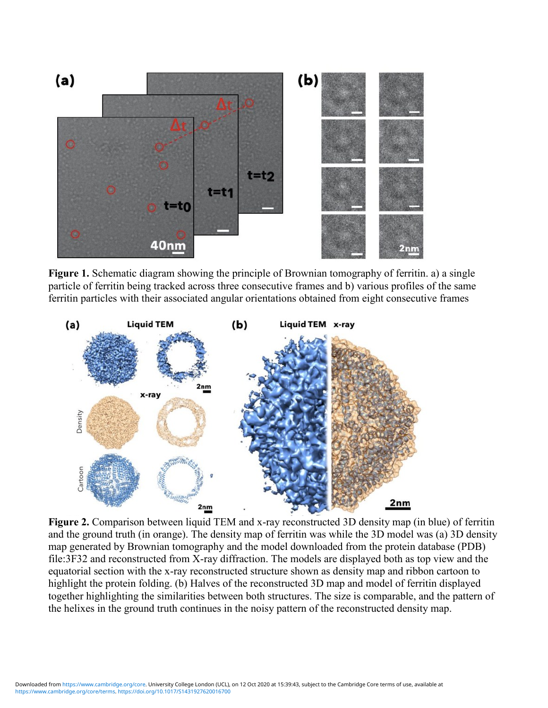

**Figure 1.** Schematic diagram showing the principle of Brownian tomography of ferritin. a) a single particle of ferritin being tracked across three consecutive frames and b) various profiles of the same ferritin particles with their associated angular orientations obtained from eight consecutive frames



**Figure 2.** Comparison between liquid TEM and x-ray reconstructed 3D density map (in blue) of ferritin and the ground truth (in orange). The density map of ferritin was while the 3D model was (a) 3D density map generated by Brownian tomography and the model downloaded from the protein database (PDB) file:3F32 and reconstructed from X-ray diffraction. The models are displayed both as top view and the equatorial section with the x-ray reconstructed structure shown as density map and ribbon cartoon to highlight the protein folding. (b) Halves of the reconstructed 3D map and model of ferritin displayed together highlighting the similarities between both structures. The size is comparable, and the pattern of the helixes in the ground truth continues in the noisy pattern of the reconstructed density map.